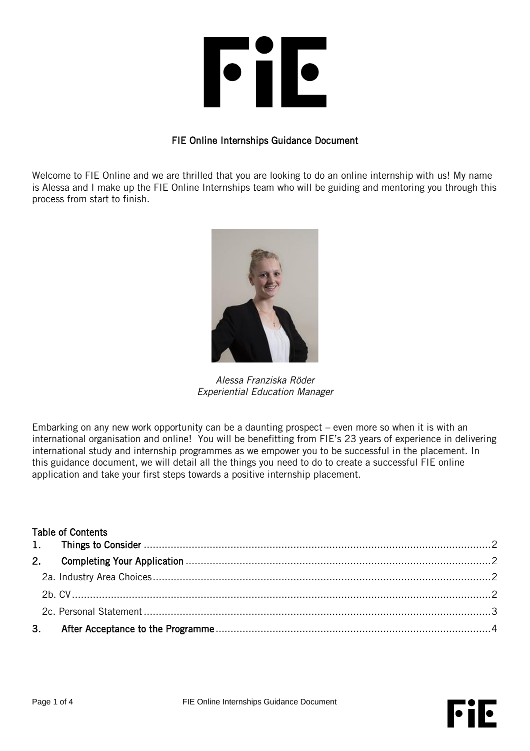

## FIE Online Internships Guidance Document

Welcome to FIE Online and we are thrilled that you are looking to do an online internship with us! My name is Alessa and I make up the FIE Online Internships team who will be guiding and mentoring you through this process from start to finish.



*Alessa Franziska Röder Experiential Education Manager*

Embarking on any new work opportunity can be a daunting prospect – even more so when it is with an international organisation and online! You will be benefitting from FIE's 23 years of experience in delivering international study and internship programmes as we empower you to be successful in the placement. In this guidance document, we will detail all the things you need to do to create a successful FIE online application and take your first steps towards a positive internship placement.

| <b>Table of Contents</b> |  |  |
|--------------------------|--|--|
|                          |  |  |
|                          |  |  |
|                          |  |  |
|                          |  |  |
|                          |  |  |
|                          |  |  |

 $\bullet$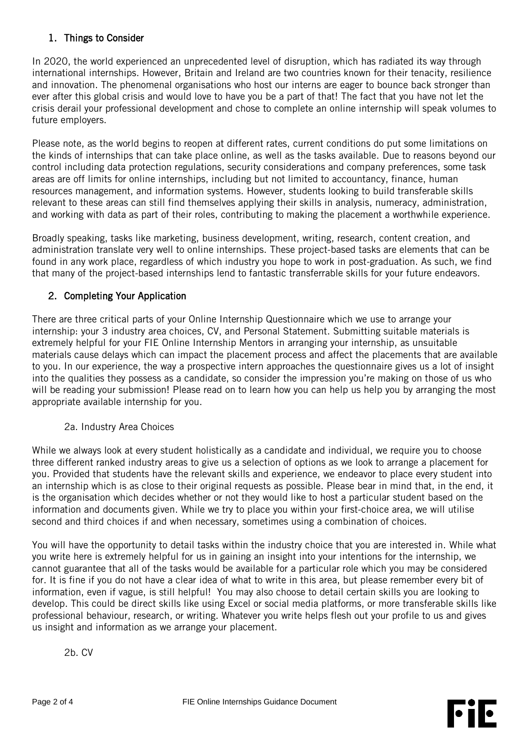## <span id="page-1-0"></span>1. Things to Consider

In 2020, the world experienced an unprecedented level of disruption, which has radiated its way through international internships. However, Britain and Ireland are two countries known for their tenacity, resilience and innovation. The phenomenal organisations who host our interns are eager to bounce back stronger than ever after this global crisis and would love to have you be a part of that! The fact that you have not let the crisis derail your professional development and chose to complete an online internship will speak volumes to future employers.

Please note, as the world begins to reopen at different rates, current conditions do put some limitations on the kinds of internships that can take place online, as well as the tasks available. Due to reasons beyond our control including data protection regulations, security considerations and company preferences, some task areas are off limits for online internships, including but not limited to accountancy, finance, human resources management, and information systems. However, students looking to build transferable skills relevant to these areas can still find themselves applying their skills in analysis, numeracy, administration, and working with data as part of their roles, contributing to making the placement a worthwhile experience.

Broadly speaking, tasks like marketing, business development, writing, research, content creation, and administration translate very well to online internships. These project-based tasks are elements that can be found in any work place, regardless of which industry you hope to work in post-graduation. As such, we find that many of the project-based internships lend to fantastic transferrable skills for your future endeavors.

# <span id="page-1-1"></span>2. Completing Your Application

There are three critical parts of your Online Internship Questionnaire which we use to arrange your internship: your 3 industry area choices, CV, and Personal Statement. Submitting suitable materials is extremely helpful for your FIE Online Internship Mentors in arranging your internship, as unsuitable materials cause delays which can impact the placement process and affect the placements that are available to you. In our experience, the way a prospective intern approaches the questionnaire gives us a lot of insight into the qualities they possess as a candidate, so consider the impression you're making on those of us who will be reading your submission! Please read on to learn how you can help us help you by arranging the most appropriate available internship for you.

### 2a. Industry Area Choices

<span id="page-1-2"></span>While we always look at every student holistically as a candidate and individual, we require you to choose three different ranked industry areas to give us a selection of options as we look to arrange a placement for you. Provided that students have the relevant skills and experience, we endeavor to place every student into an internship which is as close to their original requests as possible. Please bear in mind that, in the end, it is the organisation which decides whether or not they would like to host a particular student based on the information and documents given. While we try to place you within your first-choice area, we will utilise second and third choices if and when necessary, sometimes using a combination of choices.

<span id="page-1-3"></span>You will have the opportunity to detail tasks within the industry choice that you are interested in. While what you write here is extremely helpful for us in gaining an insight into your intentions for the internship, we cannot guarantee that all of the tasks would be available for a particular role which you may be considered for. It is fine if you do not have a clear idea of what to write in this area, but please remember every bit of information, even if vague, is still helpful! You may also choose to detail certain skills you are looking to develop. This could be direct skills like using Excel or social media platforms, or more transferable skills like professional behaviour, research, or writing. Whatever you write helps flesh out your profile to us and gives us insight and information as we arrange your placement.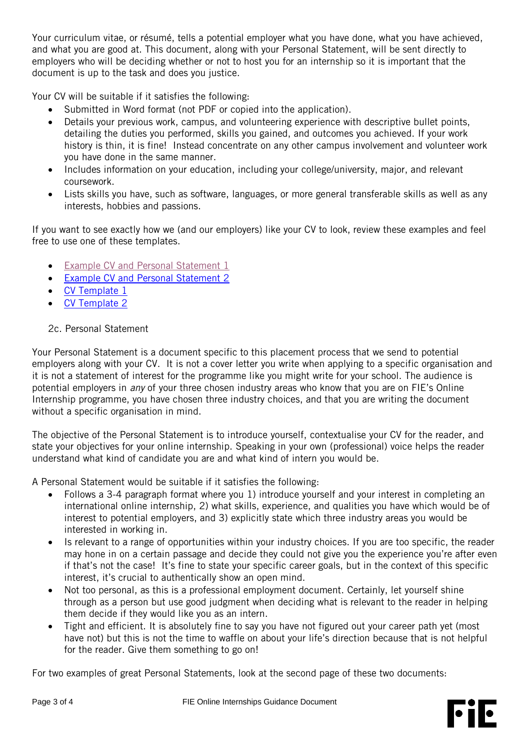Your curriculum vitae, or résumé, tells a potential employer what you have done, what you have achieved, and what you are good at. This document, along with your Personal Statement, will be sent directly to employers who will be deciding whether or not to host you for an internship so it is important that the document is up to the task and does you justice.

Your CV will be suitable if it satisfies the following:

- Submitted in Word format (not PDF or copied into the application).
- Details your previous work, campus, and volunteering experience with descriptive bullet points, detailing the duties you performed, skills you gained, and outcomes you achieved. If your work history is thin, it is fine! Instead concentrate on any other campus involvement and volunteer work you have done in the same manner.
- Includes information on your education, including your college/university, major, and relevant coursework.
- Lists skills you have, such as software, languages, or more general transferable skills as well as any interests, hobbies and passions.

If you want to see exactly how we (and our employers) like your CV to look, review these examples and feel free to use one of these templates.

- [Example CV and Personal Statement 1](https://studyabroad.fie.org.uk/_customtags/ct_FileRetrieve.cfm?File_ID=90034)
- [Example CV and Personal Statement 2](https://studyabroad.fie.org.uk/_customtags/ct_FileRetrieve.cfm?File_ID=90035)
- [CV Template 1](https://studyabroad.fie.org.uk/_customtags/ct_FileRetrieve.cfm?File_ID=90036)
- [CV Template 2](https://studyabroad.fie.org.uk/_customtags/ct_FileRetrieve.cfm?File_ID=90037)

### <span id="page-2-0"></span>2c. Personal Statement

Your Personal Statement is a document specific to this placement process that we send to potential employers along with your CV. It is not a cover letter you write when applying to a specific organisation and it is not a statement of interest for the programme like you might write for your school. The audience is potential employers in *any* of your three chosen industry areas who know that you are on FIE's Online Internship programme, you have chosen three industry choices, and that you are writing the document without a specific organisation in mind.

The objective of the Personal Statement is to introduce yourself, contextualise your CV for the reader, and state your objectives for your online internship. Speaking in your own (professional) voice helps the reader understand what kind of candidate you are and what kind of intern you would be.

A Personal Statement would be suitable if it satisfies the following:

- Follows a 3-4 paragraph format where you 1) introduce yourself and your interest in completing an international online internship, 2) what skills, experience, and qualities you have which would be of interest to potential employers, and 3) explicitly state which three industry areas you would be interested in working in.
- Is relevant to a range of opportunities within your industry choices. If you are too specific, the reader may hone in on a certain passage and decide they could not give you the experience you're after even if that's not the case! It's fine to state your specific career goals, but in the context of this specific interest, it's crucial to authentically show an open mind.
- Not too personal, as this is a professional employment document. Certainly, let yourself shine through as a person but use good judgment when deciding what is relevant to the reader in helping them decide if they would like you as an intern.
- Tight and efficient. It is absolutely fine to say you have not figured out your career path yet (most have not) but this is not the time to waffle on about your life's direction because that is not helpful for the reader. Give them something to go on!

For two examples of great Personal Statements, look at the second page of these two documents: